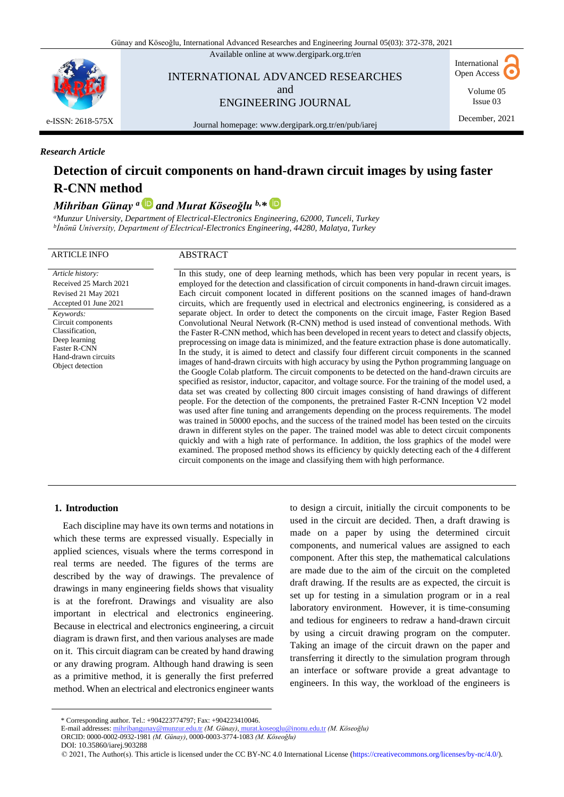Available online at [www.dergipark.org.tr/en](http://www.dergipark.org.tr/en)



INTERNATIONAL ADVANCED RESEARCHES and ENGINEERING JOURNAL

International Open Access

> Volume 05 Issue 03

Journal homepage[: www.dergipark.org.tr/en/pub/iarej](http://www.dergipark.org.tr/en/pub/iarej)

### December, 2021

#### *Research Article*

# **Detection of circuit components on hand-drawn circuit images by using faster R-CNN method**

## *Mihriban Günay <sup>a</sup> and Murat Köseoğlu b,\**

*<sup>a</sup>Munzur University, Department of Electrical-Electronics Engineering, 62000, Tunceli, Turkey b İnönü University, Department of Electrical-Electronics Engineering, 44280, Malatya, Turkey*

#### ARTICLE INFO ABSTRACT

*Article history:* Received 25 March 2021 Revised 21 May 2021 Accepted 01 June 2021 *Keywords:* Circuit components Classification, Deep learning Faster R-CNN Hand-drawn circuits Object detection

In this study, one of deep learning methods, which has been very popular in recent years, is employed for the detection and classification of circuit components in hand-drawn circuit images. Each circuit component located in different positions on the scanned images of hand-drawn circuits, which are frequently used in electrical and electronics engineering, is considered as a separate object. In order to detect the components on the circuit image, Faster Region Based Convolutional Neural Network (R-CNN) method is used instead of conventional methods. With the Faster R-CNN method, which has been developed in recent years to detect and classify objects, preprocessing on image data is minimized, and the feature extraction phase is done automatically. In the study, it is aimed to detect and classify four different circuit components in the scanned images of hand-drawn circuits with high accuracy by using the Python programming language on the Google Colab platform. The circuit components to be detected on the hand-drawn circuits are specified as resistor, inductor, capacitor, and voltage source. For the training of the model used, a data set was created by collecting 800 circuit images consisting of hand drawings of different people. For the detection of the components, the pretrained Faster R-CNN Inception V2 model was used after fine tuning and arrangements depending on the process requirements. The model was trained in 50000 epochs, and the success of the trained model has been tested on the circuits drawn in different styles on the paper. The trained model was able to detect circuit components quickly and with a high rate of performance. In addition, the loss graphics of the model were examined. The proposed method shows its efficiency by quickly detecting each of the 4 different circuit components on the image and classifying them with high performance.

#### **1. Introduction**

Each discipline may have its own terms and notations in which these terms are expressed visually. Especially in applied sciences, visuals where the terms correspond in real terms are needed. The figures of the terms are described by the way of drawings. The prevalence of drawings in many engineering fields shows that visuality is at the forefront. Drawings and visuality are also important in electrical and electronics engineering. Because in electrical and electronics engineering, a circuit diagram is drawn first, and then various analyses are made on it. This circuit diagram can be created by hand drawing or any drawing program. Although hand drawing is seen as a primitive method, it is generally the first preferred method. When an electrical and electronics engineer wants

to design a circuit, initially the circuit components to be used in the circuit are decided. Then, a draft drawing is made on a paper by using the determined circuit components, and numerical values are assigned to each component. After this step, the mathematical calculations are made due to the aim of the circuit on the completed draft drawing. If the results are as expected, the circuit is set up for testing in a simulation program or in a real laboratory environment. However, it is time-consuming and tedious for engineers to redraw a hand-drawn circuit by using a circuit drawing program on the computer. Taking an image of the circuit drawn on the paper and transferring it directly to the simulation program through an interface or software provide a great advantage to engineers. In this way, the workload of the engineers is

DOI: 1[0.35860/iarej.903288](https://doi.org/10.35860/iarej.903288)

<sup>\*</sup> Corresponding author. Tel.: +904223774797; Fax: +904223410046.

E-mail addresses: mihribangunay@munzur.edu.tr *(M. Günay),* murat.koseoglu@inonu.edu.tr *(M. Köseoğlu)*

ORCID: 0000-0002-0932-1981 *(M. Günay),* 0000-0003-3774-1083 *(M. Köseoğlu)*

 <sup>© 2021,</sup> The Author(s). This article is licensed under the CC [BY-NC](https://creativecommons.org/licenses/by-nc/4.0/) 4.0 I[nternational](https://creativecommons.org/licenses/by-nc/4.0/) License ([https://creativecommons.org/licenses/by-nc/4.0/\).](https://creativecommons.org/licenses/by-nc/4.0/)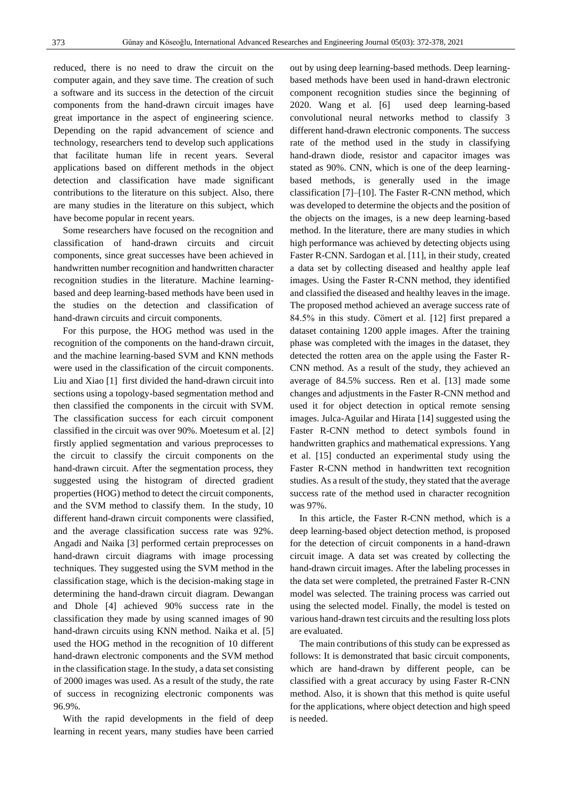reduced, there is no need to draw the circuit on the computer again, and they save time. The creation of such a software and its success in the detection of the circuit components from the hand-drawn circuit images have great importance in the aspect of engineering science. Depending on the rapid advancement of science and technology, researchers tend to develop such applications that facilitate human life in recent years. Several applications based on different methods in the object detection and classification have made significant contributions to the literature on this subject. Also, there are many studies in the literature on this subject, which have become popular in recent years.

Some researchers have focused on the recognition and classification of hand-drawn circuits and circuit components, since great successes have been achieved in handwritten number recognition and handwritten character recognition studies in the literature. Machine learningbased and deep learning-based methods have been used in the studies on the detection and classification of hand-drawn circuits and circuit components.

For this purpose, the HOG method was used in the recognition of the components on the hand-drawn circuit, and the machine learning-based SVM and KNN methods were used in the classification of the circuit components. Liu and Xiao [1] first divided the hand-drawn circuit into sections using a topology-based segmentation method and then classified the components in the circuit with SVM. The classification success for each circuit component classified in the circuit was over 90%. Moetesum et al. [2] firstly applied segmentation and various preprocesses to the circuit to classify the circuit components on the hand-drawn circuit. After the segmentation process, they suggested using the histogram of directed gradient properties (HOG) method to detect the circuit components, and the SVM method to classify them. In the study, 10 different hand-drawn circuit components were classified, and the average classification success rate was 92%. Angadi and Naika [3] performed certain preprocesses on hand-drawn circuit diagrams with image processing techniques. They suggested using the SVM method in the classification stage, which is the decision-making stage in determining the hand-drawn circuit diagram. Dewangan and Dhole [4] achieved 90% success rate in the classification they made by using scanned images of 90 hand-drawn circuits using KNN method. Naika et al. [5] used the HOG method in the recognition of 10 different hand-drawn electronic components and the SVM method in the classification stage. In the study, a data set consisting of 2000 images was used. As a result of the study, the rate of success in recognizing electronic components was 96.9%.

With the rapid developments in the field of deep learning in recent years, many studies have been carried

out by using deep learning-based methods. Deep learningbased methods have been used in hand-drawn electronic component recognition studies since the beginning of 2020. Wang et al. [6] used deep learning-based convolutional neural networks method to classify 3 different hand-drawn electronic components. The success rate of the method used in the study in classifying hand-drawn diode, resistor and capacitor images was stated as 90%. CNN, which is one of the deep learningbased methods, is generally used in the image classification [7]–[10]. The Faster R-CNN method, which was developed to determine the objects and the position of the objects on the images, is a new deep learning-based method. In the literature, there are many studies in which high performance was achieved by detecting objects using Faster R-CNN. Sardogan et al. [11], in their study, created a data set by collecting diseased and healthy apple leaf images. Using the Faster R-CNN method, they identified and classified the diseased and healthy leaves in the image. The proposed method achieved an average success rate of 84.5% in this study. Cömert et al. [12] first prepared a dataset containing 1200 apple images. After the training phase was completed with the images in the dataset, they detected the rotten area on the apple using the Faster R-CNN method. As a result of the study, they achieved an average of 84.5% success. Ren et al. [13] made some changes and adjustments in the Faster R-CNN method and used it for object detection in optical remote sensing images. Julca-Aguilar and Hirata [14] suggested using the Faster R-CNN method to detect symbols found in handwritten graphics and mathematical expressions. Yang et al. [15] conducted an experimental study using the Faster R-CNN method in handwritten text recognition studies. As a result of the study, they stated that the average success rate of the method used in character recognition was 97%.

In this article, the Faster R-CNN method, which is a deep learning-based object detection method, is proposed for the detection of circuit components in a hand-drawn circuit image. A data set was created by collecting the hand-drawn circuit images. After the labeling processes in the data set were completed, the pretrained Faster R-CNN model was selected. The training process was carried out using the selected model. Finally, the model is tested on various hand-drawn test circuits and the resulting loss plots are evaluated.

The main contributions of this study can be expressed as follows: It is demonstrated that basic circuit components, which are hand-drawn by different people, can be classified with a great accuracy by using Faster R-CNN method. Also, it is shown that this method is quite useful for the applications, where object detection and high speed is needed.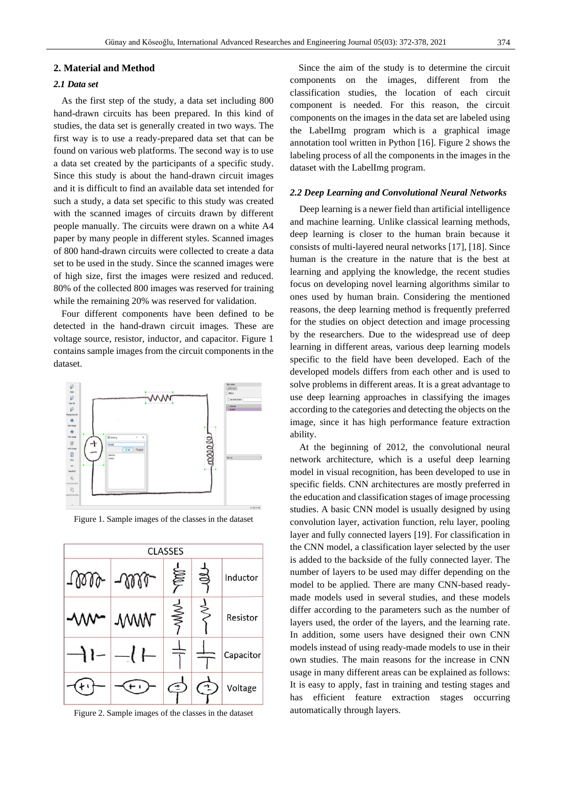#### **2. Material and Method**

#### *2.1 Data set*

As the first step of the study, a data set including 800 hand-drawn circuits has been prepared. In this kind of studies, the data set is generally created in two ways. The first way is to use a ready-prepared data set that can be found on various web platforms. The second way is to use a data set created by the participants of a specific study. Since this study is about the hand-drawn circuit images and it is difficult to find an available data set intended for such a study, a data set specific to this study was created with the scanned images of circuits drawn by different people manually. The circuits were drawn on a white A4 paper by many people in different styles. Scanned images of 800 hand-drawn circuits were collected to create a data set to be used in the study. Since the scanned images were of high size, first the images were resized and reduced. 80% of the collected 800 images was reserved for training while the remaining 20% was reserved for validation.

Four different components have been defined to be detected in the hand-drawn circuit images. These are voltage source, resistor, inductor, and capacitor. Figure 1 contains sample images from the circuit components in the dataset.



Figure 1. Sample images of the classes in the dataset



Figure 2. Sample images of the classes in the dataset

Since the aim of the study is to determine the circuit components on the images, different from the classification studies, the location of each circuit component is needed. For this reason, the circuit components on the images in the data set are labeled using the LabelImg program which is a graphical image annotation tool written in Python [16]. Figure 2 shows the labeling process of all the components in the images in the dataset with the LabelImg program.

#### *2.2 Deep Learning and Convolutional Neural Networks*

Deep learning is a newer field than artificial intelligence and machine learning. Unlike classical learning methods, deep learning is closer to the human brain because it consists of multi-layered neural networks [17], [18]. Since human is the creature in the nature that is the best at learning and applying the knowledge, the recent studies focus on developing novel learning algorithms similar to ones used by human brain. Considering the mentioned reasons, the deep learning method is frequently preferred for the studies on object detection and image processing by the researchers. Due to the widespread use of deep learning in different areas, various deep learning models specific to the field have been developed. Each of the developed models differs from each other and is used to solve problems in different areas. It is a great advantage to use deep learning approaches in classifying the images according to the categories and detecting the objects on the image, since it has high performance feature extraction ability.

At the beginning of 2012, the convolutional neural network architecture, which is a useful deep learning model in visual recognition, has been developed to use in specific fields. CNN architectures are mostly preferred in the education and classification stages of image processing studies. A basic CNN model is usually designed by using convolution layer, activation function, relu layer, pooling layer and fully connected layers [19]. For classification in the CNN model, a classification layer selected by the user is added to the backside of the fully connected layer. The number of layers to be used may differ depending on the model to be applied. There are many CNN-based readymade models used in several studies, and these models differ according to the parameters such as the number of layers used, the order of the layers, and the learning rate. In addition, some users have designed their own CNN models instead of using ready-made models to use in their own studies. The main reasons for the increase in CNN usage in many different areas can be explained as follows: It is easy to apply, fast in training and testing stages and has efficient feature extraction stages occurring automatically through layers.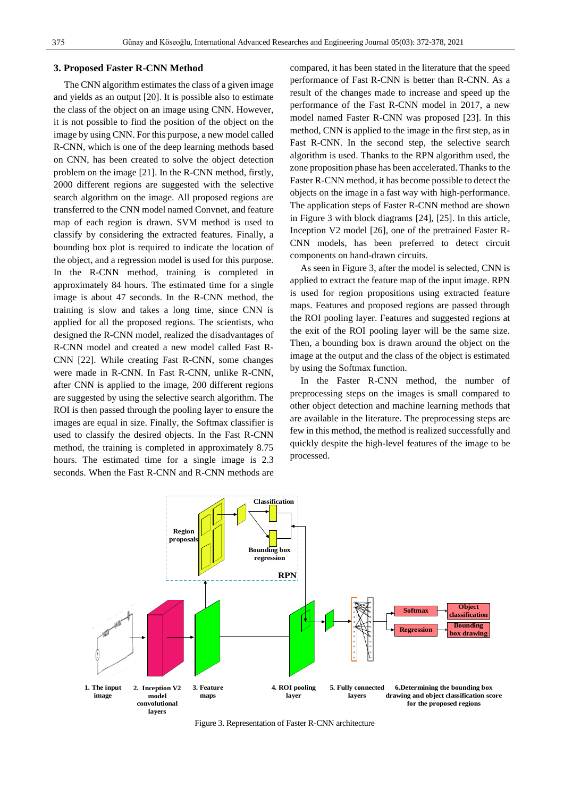#### **3. Proposed Faster R-CNN Method**

The CNN algorithm estimates the class of a given image and yields as an output [20]. It is possible also to estimate the class of the object on an image using CNN. However, it is not possible to find the position of the object on the image by using CNN. For this purpose, a new model called R-CNN, which is one of the deep learning methods based on CNN, has been created to solve the object detection problem on the image [21]. In the R-CNN method, firstly, 2000 different regions are suggested with the selective search algorithm on the image. All proposed regions are transferred to the CNN model named Convnet, and feature map of each region is drawn. SVM method is used to classify by considering the extracted features. Finally, a bounding box plot is required to indicate the location of the object, and a regression model is used for this purpose. In the R-CNN method, training is completed in approximately 84 hours. The estimated time for a single image is about 47 seconds. In the R-CNN method, the training is slow and takes a long time, since CNN is applied for all the proposed regions. The scientists, who designed the R-CNN model, realized the disadvantages of R-CNN model and created a new model called Fast R-CNN [22]. While creating Fast R-CNN, some changes were made in R-CNN. In Fast R-CNN, unlike R-CNN, after CNN is applied to the image, 200 different regions are suggested by using the selective search algorithm. The ROI is then passed through the pooling layer to ensure the images are equal in size. Finally, the Softmax classifier is used to classify the desired objects. In the Fast R-CNN method, the training is completed in approximately 8.75 hours. The estimated time for a single image is 2.3 seconds. When the Fast R-CNN and R-CNN methods are

compared, it has been stated in the literature that the speed performance of Fast R-CNN is better than R-CNN. As a result of the changes made to increase and speed up the performance of the Fast R-CNN model in 2017, a new model named Faster R-CNN was proposed [23]. In this method, CNN is applied to the image in the first step, as in Fast R-CNN. In the second step, the selective search algorithm is used. Thanks to the RPN algorithm used, the zone proposition phase has been accelerated. Thanks to the Faster R-CNN method, it has become possible to detect the objects on the image in a fast way with high-performance. The application steps of Faster R-CNN method are shown in Figure 3 with block diagrams [24], [25]. In this article, Inception V2 model [26], one of the pretrained Faster R-CNN models, has been preferred to detect circuit components on hand-drawn circuits.

As seen in Figure 3, after the model is selected, CNN is applied to extract the feature map of the input image. RPN is used for region propositions using extracted feature maps. Features and proposed regions are passed through the ROI pooling layer. Features and suggested regions at the exit of the ROI pooling layer will be the same size. Then, a bounding box is drawn around the object on the image at the output and the class of the object is estimated by using the Softmax function.

In the Faster R-CNN method, the number of preprocessing steps on the images is small compared to other object detection and machine learning methods that are available in the literature. The preprocessing steps are few in this method, the method is realized successfully and quickly despite the high-level features of the image to be processed.



Figure 3. Representation of Faster R-CNN architecture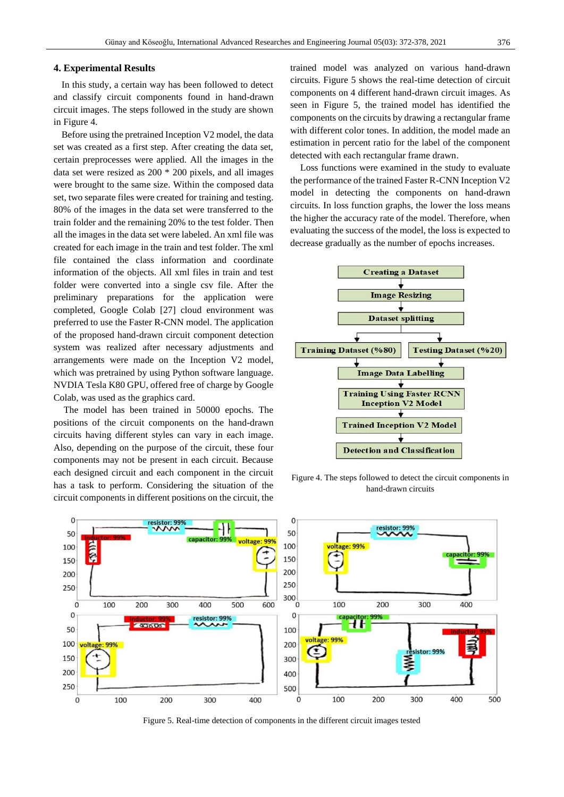#### **4. Experimental Results**

In this study, a certain way has been followed to detect and classify circuit components found in hand-drawn circuit images. The steps followed in the study are shown in Figure 4.

Before using the pretrained Inception V2 model, the data set was created as a first step. After creating the data set, certain preprocesses were applied. All the images in the data set were resized as 200 \* 200 pixels, and all images were brought to the same size. Within the composed data set, two separate files were created for training and testing. 80% of the images in the data set were transferred to the train folder and the remaining 20% to the test folder. Then all the images in the data set were labeled. An xml file was created for each image in the train and test folder. The xml file contained the class information and coordinate information of the objects. All xml files in train and test folder were converted into a single csv file. After the preliminary preparations for the application were completed, Google Colab [27] cloud environment was preferred to use the Faster R-CNN model. The application of the proposed hand-drawn circuit component detection system was realized after necessary adjustments and arrangements were made on the Inception V2 model, which was pretrained by using Python software language. NVDIA Tesla K80 GPU, offered free of charge by Google Colab, was used as the graphics card.

The model has been trained in 50000 epochs. The positions of the circuit components on the hand-drawn circuits having different styles can vary in each image. Also, depending on the purpose of the circuit, these four components may not be present in each circuit. Because each designed circuit and each component in the circuit has a task to perform. Considering the situation of the circuit components in different positions on the circuit, the

trained model was analyzed on various hand-drawn circuits. Figure 5 shows the real-time detection of circuit components on 4 different hand-drawn circuit images. As seen in Figure 5, the trained model has identified the components on the circuits by drawing a rectangular frame with different color tones. In addition, the model made an estimation in percent ratio for the label of the component detected with each rectangular frame drawn.

Loss functions were examined in the study to evaluate the performance of the trained Faster R-CNN Inception V2 model in detecting the components on hand-drawn circuits. In loss function graphs, the lower the loss means the higher the accuracy rate of the model. Therefore, when evaluating the success of the model, the loss is expected to decrease gradually as the number of epochs increases.



Figure 4. The steps followed to detect the circuit components in hand-drawn circuits



Figure 5. Real-time detection of components in the different circuit images tested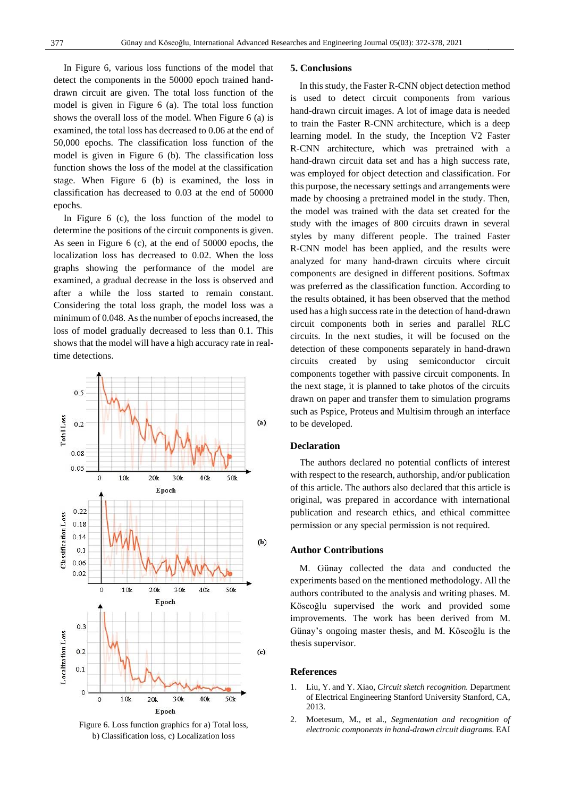In Figure 6, various loss functions of the model that detect the components in the 50000 epoch trained handdrawn circuit are given. The total loss function of the model is given in Figure 6 (a). The total loss function shows the overall loss of the model. When Figure 6 (a) is examined, the total loss has decreased to 0.06 at the end of 50,000 epochs. The classification loss function of the model is given in Figure 6 (b). The classification loss function shows the loss of the model at the classification stage. When Figure 6 (b) is examined, the loss in classification has decreased to 0.03 at the end of 50000 epochs.

In Figure 6 (c), the loss function of the model to determine the positions of the circuit components is given. As seen in Figure 6 (c), at the end of 50000 epochs, the localization loss has decreased to 0.02. When the loss graphs showing the performance of the model are examined, a gradual decrease in the loss is observed and after a while the loss started to remain constant. Considering the total loss graph, the model loss was a minimum of 0.048. As the number of epochs increased, the loss of model gradually decreased to less than 0.1. This shows that the model will have a high accuracy rate in realtime detections.



Figure 6. Loss function graphics for a) Total loss, b) Classification loss, c) Localization loss

#### **5. Conclusions**

In this study, the Faster R-CNN object detection method is used to detect circuit components from various hand-drawn circuit images. A lot of image data is needed to train the Faster R-CNN architecture, which is a deep learning model. In the study, the Inception V2 Faster R-CNN architecture, which was pretrained with a hand-drawn circuit data set and has a high success rate, was employed for object detection and classification. For this purpose, the necessary settings and arrangements were made by choosing a pretrained model in the study. Then, the model was trained with the data set created for the study with the images of 800 circuits drawn in several styles by many different people. The trained Faster R-CNN model has been applied, and the results were analyzed for many hand-drawn circuits where circuit components are designed in different positions. Softmax was preferred as the classification function. According to the results obtained, it has been observed that the method used has a high success rate in the detection of hand-drawn circuit components both in series and parallel RLC circuits. In the next studies, it will be focused on the detection of these components separately in hand-drawn circuits created by using semiconductor circuit components together with passive circuit components. In the next stage, it is planned to take photos of the circuits drawn on paper and transfer them to simulation programs such as Pspice, Proteus and Multisim through an interface to be developed.

#### **Declaration**

The authors declared no potential conflicts of interest with respect to the research, authorship, and/or publication of this article. The authors also declared that this article is original, was prepared in accordance with international publication and research ethics, and ethical committee permission or any special permission is not required.

#### **Author Contributions**

M. Günay collected the data and conducted the experiments based on the mentioned methodology. All the authors contributed to the analysis and writing phases. M. Köseoğlu supervised the work and provided some improvements. The work has been derived from M. Günay's ongoing master thesis, and M. Köseoğlu is the thesis supervisor.

#### **References**

- 1. Liu, Y. and Y. Xiao, *Circuit sketch recognition.* Department of Electrical Engineering Stanford University Stanford, CA, 2013.
- 2. Moetesum, M., et al., *Segmentation and recognition of electronic components in hand-drawn circuit diagrams.* EAI